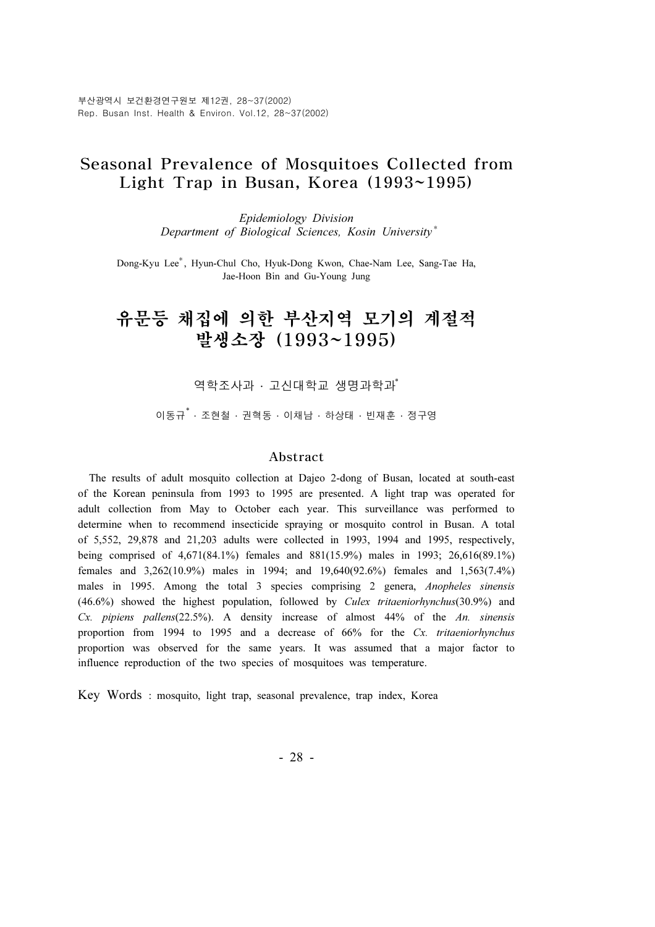### Seasonal Prevalence of Mosquitoes Collected from Light Trap in Busan, Korea (1993~1995)

Epidemiology Division Department of Biological Sciences, Kosin University \*

Dong-Kyu Lee<sup>\*</sup>, Hyun-Chul Cho, Hyuk-Dong Kwon, Chae-Nam Lee, Sang-Tae Ha, Jae-Hoon Bin and Gu-Young Jung

# 유문등 채집에 의한 부산지역 모기의 계절적 발생소장 (1993~1995)

역학조사과 · 고신대학교 생명과학과<sup>\*</sup>

이동규<sup>\*</sup> · 조현철 · 권혁동 · 이채남 · 하상태 · 빈재훈 · 정구영

#### Abstract

The results of adult mosquito collection at Dajeo 2-dong of Busan, located at south-east of the Korean peninsula from 1993 to 1995 are presented. A light trap was operated for adult collection from May to October each year. This surveillance was performed to determine when to recommend insecticide spraying or mosquito control in Busan. A total of 5,552, 29,878 and 21,203 adults were collected in 1993, 1994 and 1995, respectively, being comprised of 4,671(84.1%) females and 881(15.9%) males in 1993; 26,616(89.1%) females and 3,262(10.9%) males in 1994; and 19,640(92.6%) females and 1,563(7.4%) males in 1995. Among the total 3 species comprising 2 genera, Anopheles sinensis (46.6%) showed the highest population, followed by Culex tritaeniorhynchus(30.9%) and Cx. pipiens pallens(22.5%). A density increase of almost 44% of the An. sinensis proportion from 1994 to 1995 and a decrease of 66% for the Cx. tritaeniorhynchus proportion was observed for the same years. It was assumed that a major factor to influence reproduction of the two species of mosquitoes was temperature.

Key Words : mosquito, light trap, seasonal prevalence, trap index, Korea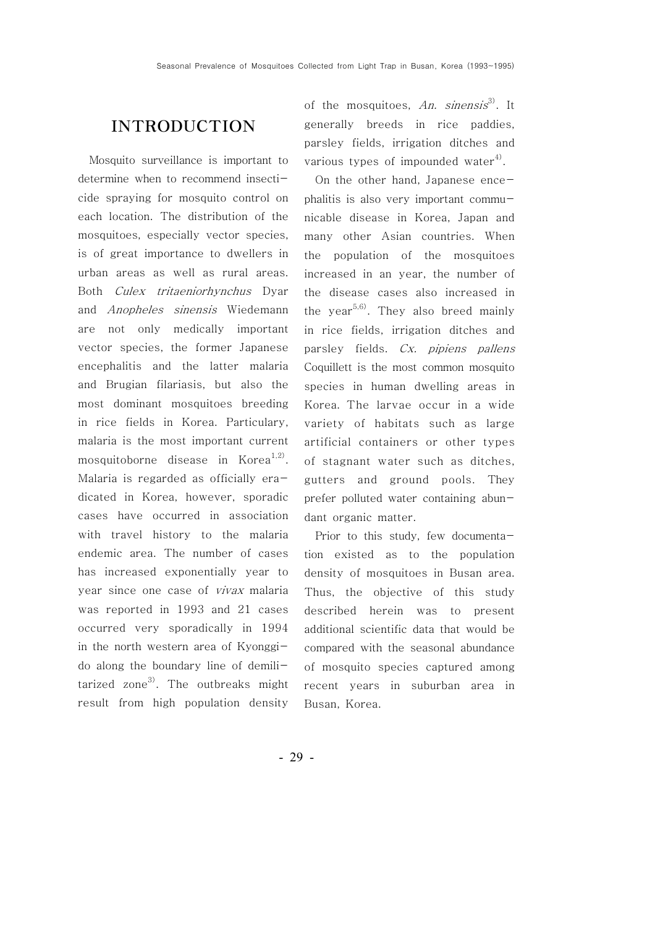## INTRODUCTION

Mosquito surveillance is important to determine when to recommend insecticide spraying for mosquito control on each location. The distribution of the mosquitoes, especially vector species, is of great importance to dwellers in urban areas as well as rural areas. Both Culex tritaeniorhynchus Dyar and Anopheles sinensis Wiedemann are not only medically important vector species, the former Japanese encephalitis and the latter malaria and Brugian filariasis, but also the most dominant mosquitoes breeding in rice fields in Korea. Particulary, malaria is the most important current mosquitoborne disease in Korea<sup>1,2)</sup>. Malaria is regarded as officially eradicated in Korea, however, sporadic cases have occurred in association with travel history to the malaria endemic area. The number of cases has increased exponentially year to year since one case of vivax malaria was reported in 1993 and 21 cases occurred very sporadically in 1994 in the north western area of Kyonggido along the boundary line of demilitarized zone<sup>3)</sup>. The outbreaks might result from high population density of the mosquitoes, An. sinensis<sup>3)</sup>. It generally breeds in rice paddies, parsley fields, irrigation ditches and various types of impounded water<sup>4)</sup>.

On the other hand, Japanese encephalitis is also very important communicable disease in Korea, Japan and many other Asian countries. When the population of the mosquitoes increased in an year, the number of the disease cases also increased in the year<sup>5,6)</sup>. They also breed mainly in rice fields, irrigation ditches and parsley fields. Cx. pipiens pallens Coquillett is the most common mosquito species in human dwelling areas in Korea. The larvae occur in a wide variety of habitats such as large artificial containers or other types of stagnant water such as ditches, gutters and ground pools. They prefer polluted water containing abundant organic matter.

Prior to this study, few documentation existed as to the population density of mosquitoes in Busan area. Thus, the objective of this study described herein was to present additional scientific data that would be compared with the seasonal abundance of mosquito species captured among recent years in suburban area in Busan, Korea.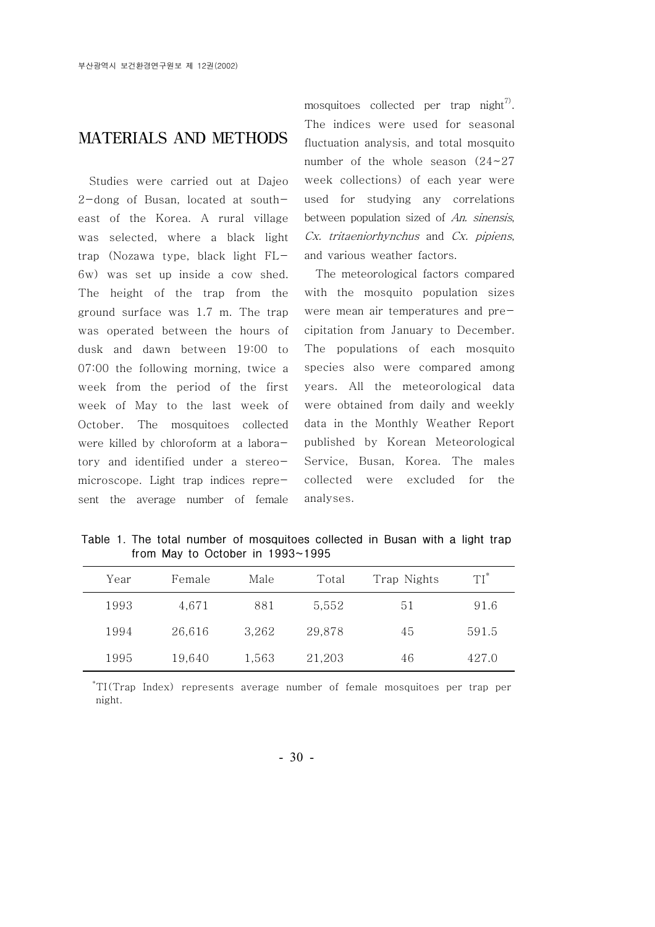#### MATERIALS AND METHODS

Studies were carried out at Dajeo 2-dong of Busan, located at southeast of the Korea. A rural village was selected, where a black light trap (Nozawa type, black light FL-6w) was set up inside a cow shed. The height of the trap from the ground surface was 1.7 m. The trap was operated between the hours of dusk and dawn between 19:00 to 07:00 the following morning, twice a week from the period of the first week of May to the last week of October. The mosquitoes collected were killed by chloroform at a laboratory and identified under a stereomicroscope. Light trap indices represent the average number of female mosquitoes collected per trap night<sup>7)</sup>. The indices were used for seasonal fluctuation analysis, and total mosquito number of the whole season (24~27 week collections) of each year were used for studying any correlations between population sized of An. sinensis, Cx. tritaeniorhynchus and Cx. pipiens, and various weather factors.

The meteorological factors compared with the mosquito population sizes were mean air temperatures and precipitation from January to December. The populations of each mosquito species also were compared among years. All the meteorological data were obtained from daily and weekly data in the Monthly Weather Report published by Korean Meteorological Service, Busan, Korea. The males collected were excluded for the analyses.

Table 1. The total number of mosquitoes collected in Busan with a light trap from May to October in 1993~1995

| Year | Female | Male  | Total  | Trap Nights | $TI^*$ |
|------|--------|-------|--------|-------------|--------|
| 1993 | 4,671  | 881   | 5,552  | 51          | 91.6   |
| 1994 | 26,616 | 3,262 | 29,878 | 45          | 591.5  |
| 1995 | 19,640 | 1,563 | 21,203 | 46          | 427.0  |

\* TI(Trap Index) represents average number of female mosquitoes per trap per night.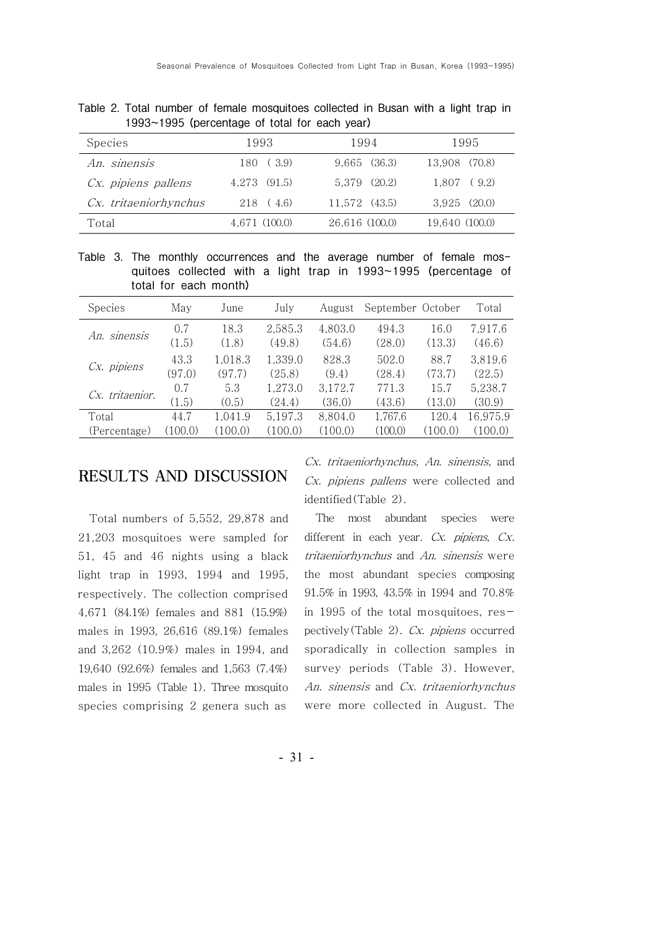| Species               | 1993          | 1994             | 1995             |
|-----------------------|---------------|------------------|------------------|
| An. sinensis          | 180 (3.9)     | $9,665$ $(36.3)$ | 13,908 (70.8)    |
| Cx. pipiens pallens   | 4.273 (91.5)  | 5.379 (20.2)     | $1.807$ (9.2)    |
| Cx. tritaeniorhynchus | 218 (4.6)     | 11,572 (43.5)    | $3.925$ $(20.0)$ |
| Total                 | 4.671 (100.0) | 26,616 (100.0)   | 19,640 (100.0)   |

Table 2. Total number of female mosquitoes collected in Busan with a light trap in 1993~1995 (percentage of total for each year)

Table 3. The monthly occurrences and the average number of female mosquitoes collected with a light trap in 1993~1995 (percentage of total for each month)

| <b>Species</b>  | May     | June    | July    | August  | September October |         | Total    |
|-----------------|---------|---------|---------|---------|-------------------|---------|----------|
| An. sinensis    | 0.7     | 18.3    | 2,585.3 | 4,803.0 | 494.3             | 16.0    | 7,917.6  |
|                 | (1.5)   | (1.8)   | (49.8)  | (54.6)  | (28.0)            | (13.3)  | (46.6)   |
| Cx. pipiens     | 43.3    | 1,018.3 | 1,339.0 | 828.3   | 502.0             | 88.7    | 3,819.6  |
|                 | (97.0)  | (97.7)  | (25.8)  | (9.4)   | (28.4)            | (73.7)  | (22.5)   |
| Cx. tritaenior. | 0.7     | 5.3     | 1,273.0 | 3,172.7 | 771.3             | 15.7    | 5,238.7  |
|                 | (1.5)   | (0.5)   | (24.4)  | (36.0)  | (43.6)            | (13.0)  | (30.9)   |
| Total           | 44.7    | 1,041.9 | 5,197.3 | 8,804.0 | 1,767.6           | 120.4   | 16,975.9 |
| (Percentage)    | (100.0) | (100.0) | (100.0) | (100.0) | (100.0)           | (100.0) | (100.0)  |

#### RESULTS AND DISCUSSION

Total numbers of 5,552, 29,878 and 21,203 mosquitoes were sampled for 51, 45 and 46 nights using a black light trap in 1993, 1994 and 1995, respectively. The collection comprised 4,671 (84.1%) females and 881 (15.9%) males in 1993, 26,616 (89.1%) females and 3,262 (10.9%) males in 1994, and 19,640 (92.6%) females and 1,563 (7.4%) males in 1995 (Table 1). Three mosquito species comprising 2 genera such as

Cx. tritaeniorhynchus, An. sinensis, and Cx. pipiens pallens were collected and identified(Table 2).

The most abundant species were different in each year. Cx. *pipiens*, Cx. tritaeniorhynchus and An. sinensis were the most abundant species composing 91.5% in 1993, 43.5% in 1994 and 70.8% in 1995 of the total mosquitoes, respectively(Table 2). Cx. pipiens occurred sporadically in collection samples in survey periods (Table 3). However, An. sinensis and Cx. tritaeniorhynchus were more collected in August. The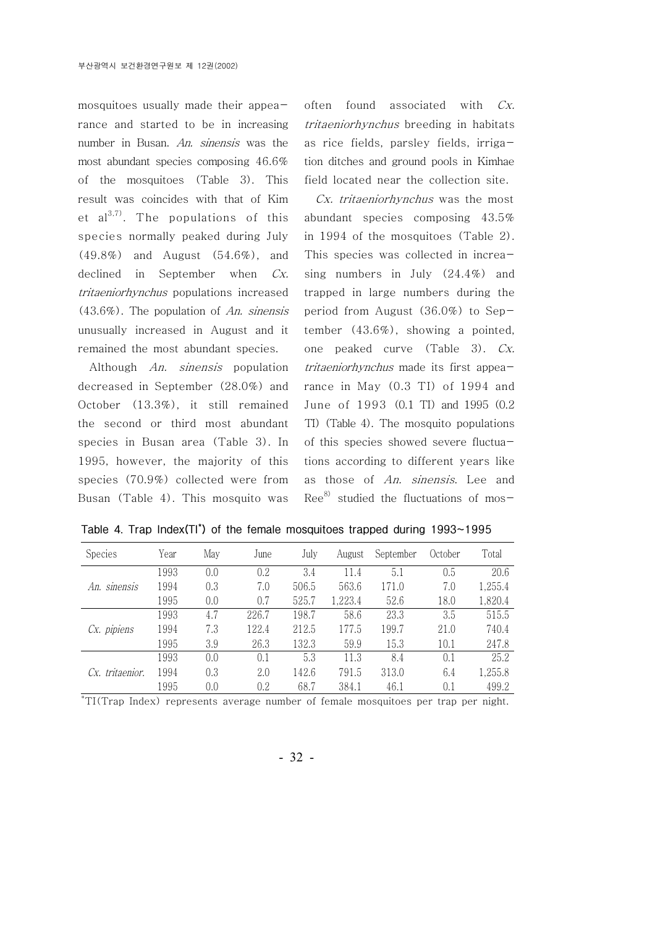mosquitoes usually made their appearance and started to be in increasing number in Busan. An. sinensis was the most abundant species composing 46.6% of the mosquitoes (Table 3). This result was coincides with that of Kim et  $al^{3,7}$ . The populations of this species normally peaked during July (49.8%) and August (54.6%), and declined in September when Cx. tritaeniorhynchus populations increased (43.6%). The population of An. sinensis unusually increased in August and it remained the most abundant species.

Although An. sinensis population decreased in September (28.0%) and October (13.3%), it still remained the second or third most abundant species in Busan area (Table 3). In 1995, however, the majority of this species (70.9%) collected were from Busan (Table 4). This mosquito was

often found associated with Cx. tritaeniorhynchus breeding in habitats as rice fields, parsley fields, irrigation ditches and ground pools in Kimhae field located near the collection site.

Cx. tritaeniorhynchus was the most abundant species composing 43.5% in 1994 of the mosquitoes (Table 2). This species was collected in increasing numbers in July (24.4%) and trapped in large numbers during the period from August (36.0%) to September (43.6%), showing a pointed, one peaked curve (Table 3). Cx. tritaeniorhynchus made its first appearance in May (0.3 TI) of 1994 and June of 1993 (0.1 TI) and 1995 (0.2 TI) (Table 4). The mosquito populations of this species showed severe fluctuations according to different years like as those of An. sinensis. Lee and  $\text{Re}e^{8}$  studied the fluctuations of mos-

| <b>Species</b>  | Year | May | June  | July  | August  | September | October | Total   |
|-----------------|------|-----|-------|-------|---------|-----------|---------|---------|
| An. sinensis    | 1993 | 0.0 | 0.2   | 3.4   | 11.4    | 5.1       | 0.5     | 20.6    |
|                 | 1994 | 0.3 | 7.0   | 506.5 | 563.6   | 171.0     | 7.0     | 1,255.4 |
|                 | 1995 | 0.0 | 0.7   | 525.7 | 1,223.4 | 52.6      | 18.0    | 1,820.4 |
| Cx. pipiens     | 1993 | 4.7 | 226.7 | 198.7 | 58.6    | 23.3      | 3.5     | 515.5   |
|                 | 1994 | 7.3 | 122.4 | 212.5 | 177.5   | 199.7     | 21.0    | 740.4   |
|                 | 1995 | 3.9 | 26.3  | 132.3 | 59.9    | 15.3      | 10.1    | 247.8   |
| Cx. tritaenior. | 1993 | 0.0 | 0.1   | 5.3   | 11.3    | 8.4       | 0.1     | 25.2    |
|                 | 1994 | 0.3 | 2.0   | 142.6 | 791.5   | 313.0     | 6.4     | 1,255.8 |
|                 | 1995 | 0.0 | 0.2   | 68.7  | 384.1   | 46.1      | 0.1     | 499.2   |

Table 4. Trap Index(TI<sup>\*</sup>) of the female mosquitoes trapped during 1993~1995

\* TI(Trap Index) represents average number of female mosquitoes per trap per night.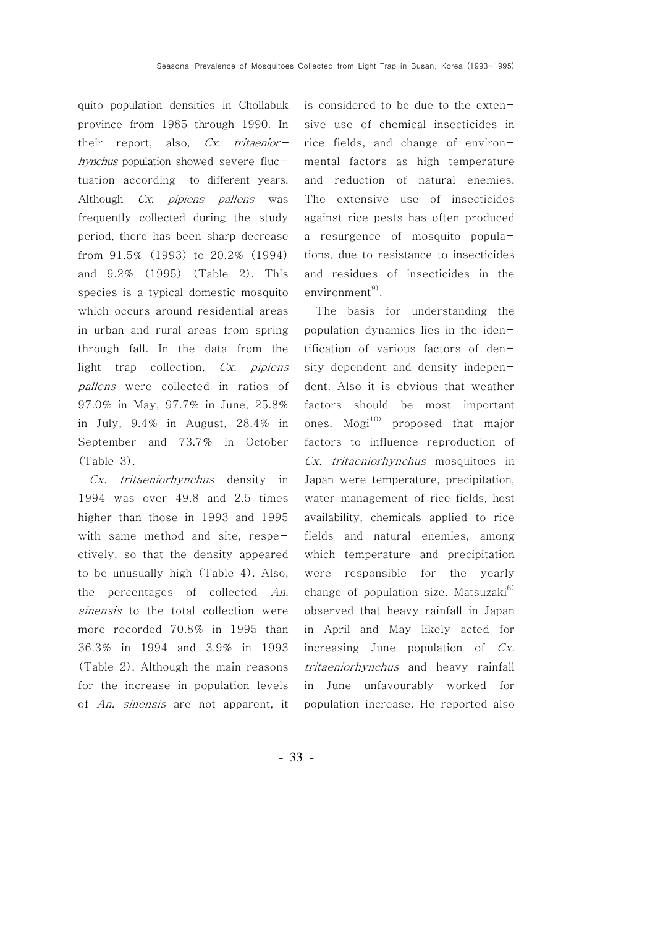quito population densities in Chollabuk province from 1985 through 1990. In their report, also,  $Cx$ . tritaeniorhynchus population showed severe fluctuation according to different years. Although Cx. *pipiens pallens* was frequently collected during the study period, there has been sharp decrease from 91.5% (1993) to 20.2% (1994) and 9.2% (1995) (Table 2). This species is a typical domestic mosquito which occurs around residential areas in urban and rural areas from spring through fall. In the data from the light trap collection, Cx. pipiens pallens were collected in ratios of 97.0% in May, 97.7% in June, 25.8% in July, 9.4% in August, 28.4% in September and 73.7% in October (Table 3).

Cx. tritaeniorhynchus density in 1994 was over 49.8 and 2.5 times higher than those in 1993 and 1995 with same method and site, respectively, so that the density appeared to be unusually high (Table 4). Also, the percentages of collected An. sinensis to the total collection were more recorded 70.8% in 1995 than 36.3% in 1994 and 3.9% in 1993 (Table 2). Although the main reasons for the increase in population levels of An. sinensis are not apparent, it is considered to be due to the extensive use of chemical insecticides in rice fields, and change of environmental factors as high temperature and reduction of natural enemies. The extensive use of insecticides against rice pests has often produced a resurgence of mosquito populations, due to resistance to insecticides and residues of insecticides in the environment<sup>9)</sup>.

The basis for understanding the population dynamics lies in the identification of various factors of density dependent and density independent. Also it is obvious that weather factors should be most important ones.  $Mogi<sup>10</sup>$  proposed that major factors to influence reproduction of Cx. tritaeniorhynchus mosquitoes in Japan were temperature, precipitation, water management of rice fields, host availability, chemicals applied to rice fields and natural enemies, among which temperature and precipitation were responsible for the yearly change of population size. Matsuzaki $^{6)}$ observed that heavy rainfall in Japan in April and May likely acted for increasing June population of Cx. tritaeniorhynchus and heavy rainfall in June unfavourably worked for population increase. He reported also

- 33 -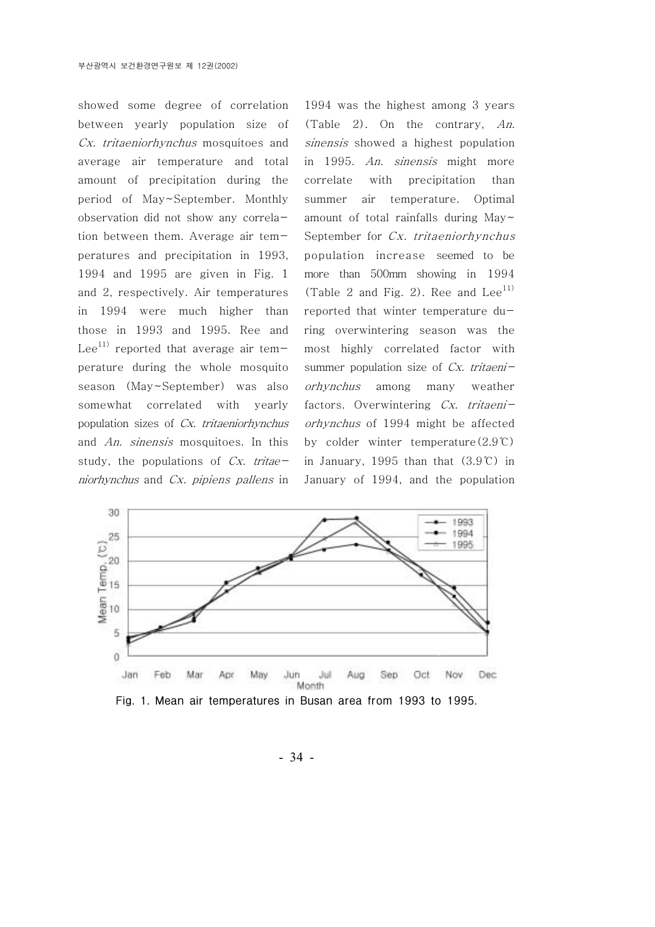showed some degree of correlation between yearly population size of Cx. tritaeniorhynchus mosquitoes and average air temperature and total amount of precipitation during the period of May~September. Monthly observation did not show any correlation between them. Average air temperatures and precipitation in 1993, 1994 and 1995 are given in Fig. 1 and 2, respectively. Air temperatures in 1994 were much higher than those in 1993 and 1995. Ree and Lee<sup>11)</sup> reported that average air temperature during the whole mosquito season (May~September) was also somewhat correlated with yearly population sizes of Cx. tritaeniorhynchus and An. sinensis mosquitoes. In this study, the populations of  $Cx$ . tritaeniorhynchus and Cx. pipiens pallens in 1994 was the highest among 3 years (Table 2). On the contrary, An. sinensis showed a highest population in 1995. An. sinensis might more correlate with precipitation than summer air temperature. Optimal amount of total rainfalls during May~ September for Cx. tritaeniorhynchus population increase seemed to be more than 500mm showing in 1994 (Table 2 and Fig. 2). Ree and  $Lee^{11}$ reported that winter temperature during overwintering season was the most highly correlated factor with summer population size of  $Cx$ . tritaeniorhynchus among many weather factors. Overwintering Cx. tritaeniorhynchus of 1994 might be affected by colder winter temperature $(2.9 \degree C)$ in January, 1995 than that  $(3.9^{\circ}\text{C})$  in January of 1994, and the population



Fig. 1. Mean air temperatures in Busan area from 1993 to 1995.

- 34 -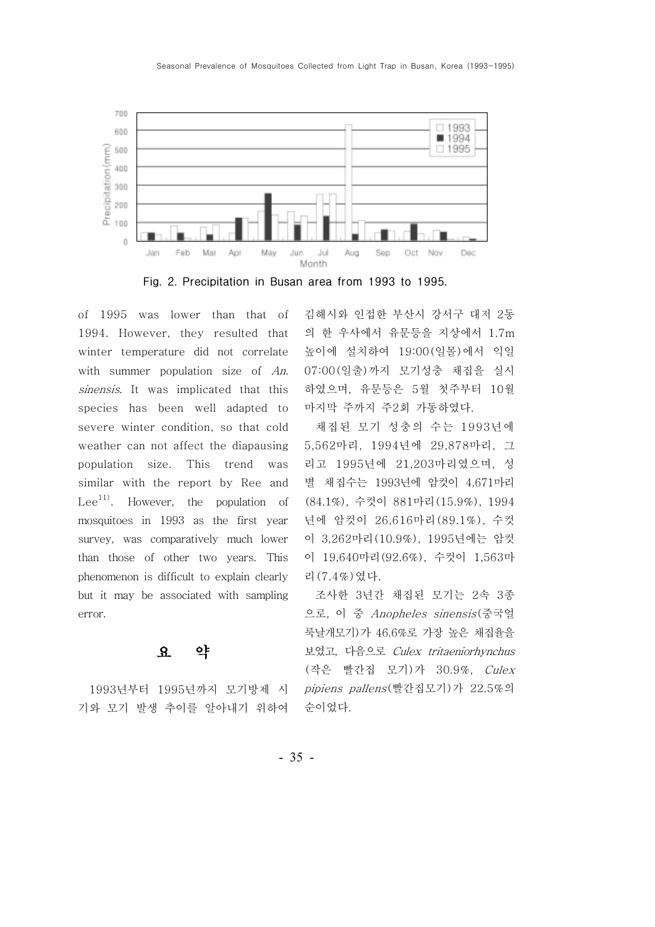

Fig. 2. Precipitation in Busan area from 1993 to 1995.

of 1995 was lower than that of 1994. However, they resulted that winter temperature did not correlate with summer population size of An. sinensis. It was implicated that this species has been well adapted to severe winter condition, so that cold weather can not affect the diapausing population size. This trend was similar with the report by Ree and Lee<sup>11)</sup>. However, the population of mosquitoes in 1993 as the first year survey, was comparatively much lower than those of other two years. This phenomenon is difficult to explain clearly but it may be associated with sampling error.

#### 요 약

1993년부터 1995년까지 모기방제 시 기와 모기 발생 추이를 알아내기 위하여 김해시와 인접한 부산시 강서구 대저 2동 의 한 우사에서 유문등을 지상에서 1.7m 높이에 설치하여 19:00(일몰)에서 익일 07:00(일출)까지 모기성충 채집을 실시 하였으며, 유문등은 5월 첫주부터 10월 마지막 주까지 주2회 가동하였다.

채집된 모기 성충의 수는 1993년에 5,562마리, 1994년에 29,878마리, 그 리고 1995년에 21,203마리였으며, 성 별 채집수는 1993년에 암컷이 4,671마리 (84.1%), 수컷이 881마리 (15.9%), 1994 년에 암컷이 26,616마리 (89.1%), 수컷 이 3,262마리 (10.9%), 1995년에는 암컷 이 19,640마리 (92.6%), 수컷이 1,563마 리 (7.4%) 였다.

조사한 3년간 채집된 모기는 2속 3종 으로, 이 중 Anopheles sinensis(중국얼 룩날개모기)가 46.6%로 가장 높은 채집율을 보였고, 다음으로 Culex tritaeniorhynchus (작은 빨간집 모기)가 30.9%, Culex pipiens pallens(빨간집모기)가 22.5%의 순이었다.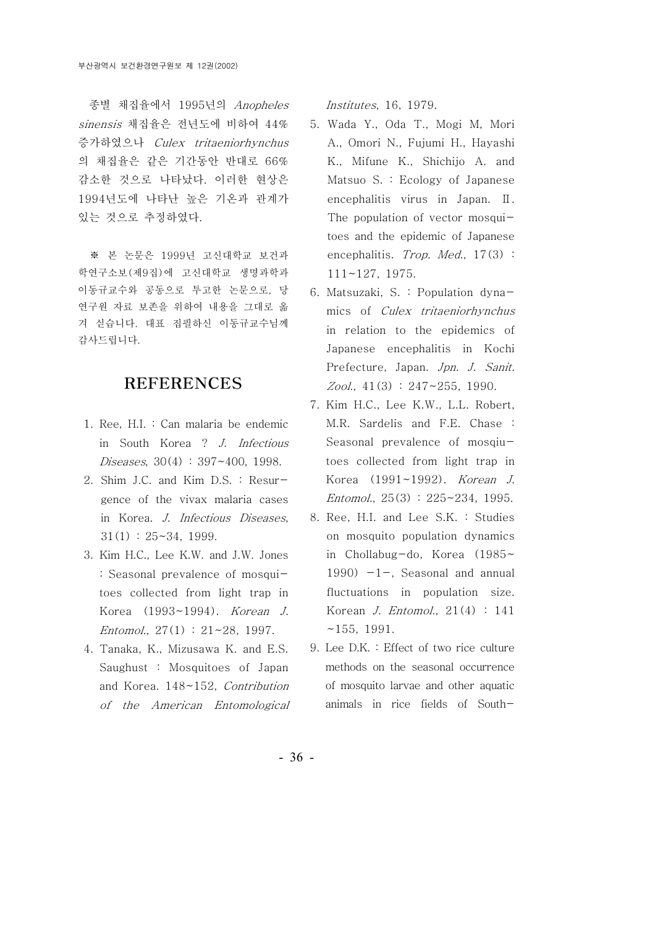종별 채집율에서 1995년의 Anopheles sinensis 채집율은 전년도에 비하여 44% 증가하였으나 Culex tritaeniorhynchus 의 채집율은 같은 기간동안 반대로 66% 감소한 것으로 나타났다. 이러한 현상은 1994년도에 나타난 높은 기온과 관계가 있는 것으로 추정하였다.

※ 본 논문은 1999년 고신대학교 보건과 학연구소보 (제9집)에 고신대학교 생명과학과 이동규교수와 공동으로 투고한 논문으로, 당 연구원 자료 보존을 위하여 내용을 그대로 옮 겨 싣습니다. 대표 집필하신 이동규교수님께 감사드립니다.

#### REFERENCES

- 1. Ree, H.I. : Can malaria be endemic in South Korea ? J. Infectious Diseases, 30(4) : 397~400, 1998.
- 2. Shim J.C. and Kim D.S. : Resurgence of the vivax malaria cases in Korea. J. Infectious Diseases,  $31(1)$  :  $25 \sim 34$ , 1999.
- 3. Kim H.C., Lee K.W. and J.W. Jones : Seasonal prevalence of mosquitoes collected from light trap in Korea (1993~1994). Korean J. Entomol.,  $27(1)$ :  $21~28$ , 1997.
- 4. Tanaka, K., Mizusawa K. and E.S. Saughust : Mosquitoes of Japan and Korea. 148~152, Contribution of the American Entomological

Institutes, 16, 1979.

- 5. Wada Y., Oda T., Mogi M, Mori A., Omori N., Fujumi H., Hayashi K., Mifune K., Shichijo A. and Matsuo S. : Ecology of Japanese encephalitis virus in Japan.  $\mathbb{I}$ . The population of vector mosquitoes and the epidemic of Japanese encephalitis. Trop. Med., 17(3): 111~127, 1975.
- 6. Matsuzaki, S. : Population dynamics of Culex tritaeniorhynchus in relation to the epidemics of Japanese encephalitis in Kochi Prefecture, Japan. Jpn. J. Sanit.  $Zool.$ , 41(3) : 247~255, 1990.
- 7. Kim H.C., Lee K.W., L.L. Robert, M.R. Sardelis and F.E. Chase : Seasonal prevalence of mosqiutoes collected from light trap in Korea (1991~1992). Korean J. Entomol., 25(3) : 225~234, 1995.
- 8. Ree, H.I. and Lee S.K. : Studies on mosquito population dynamics in Chollabug-do, Korea (1985~ 1990)  $-1$ -, Seasonal and annual fluctuations in population size. Korean J. Entomol., 21(4) : 141  $~155,~1991.$
- 9. Lee D.K . : Effect of two rice culture methods on the seasonal occurrence of mosquito larvae and other aquatic animals in rice fields of South-